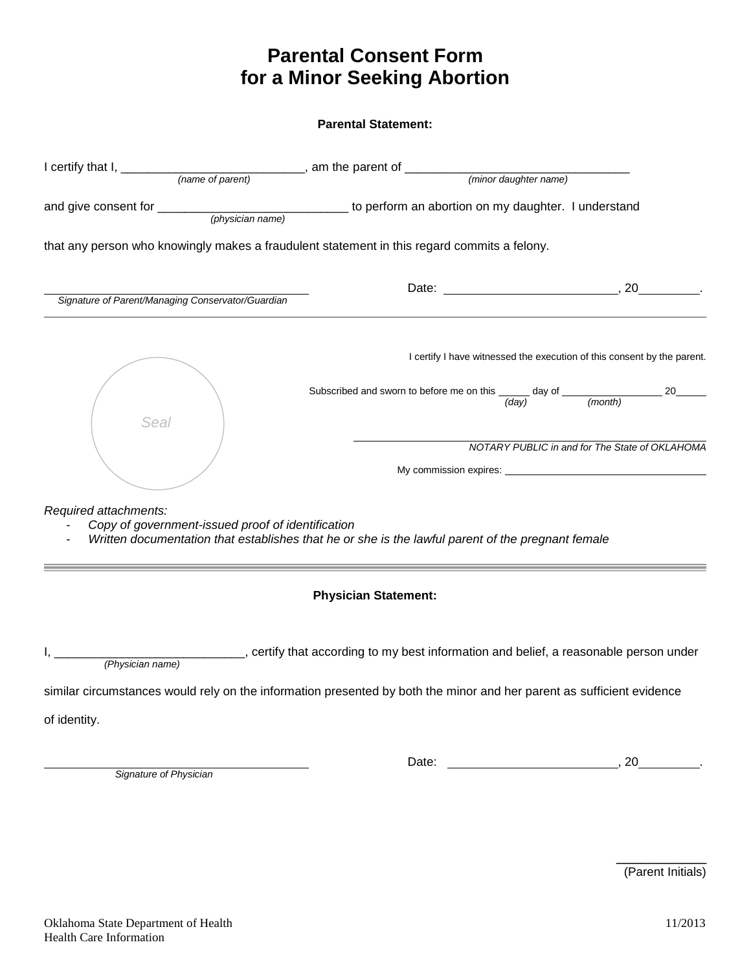# **Parental Consent Form for a Minor Seeking Abortion**

**Parental Statement:** 

|                                                                            | that any person who knowingly makes a fraudulent statement in this regard commits a felony.                                                                                           |  |  |  |
|----------------------------------------------------------------------------|---------------------------------------------------------------------------------------------------------------------------------------------------------------------------------------|--|--|--|
| Signature of Parent/Managing Conservator/Guardian                          |                                                                                                                                                                                       |  |  |  |
|                                                                            | I certify I have witnessed the execution of this consent by the parent.                                                                                                               |  |  |  |
| <b>Seal</b>                                                                | Subscribed and sworn to before me on this $\frac{1}{(day)}$ day of $\frac{1}{(month)}$ 20                                                                                             |  |  |  |
|                                                                            | NOTARY PUBLIC in and for The State of OKLAHOMA                                                                                                                                        |  |  |  |
| Required attachments:<br>Copy of government-issued proof of identification | Written documentation that establishes that he or she is the lawful parent of the pregnant female                                                                                     |  |  |  |
|                                                                            | <b>Physician Statement:</b>                                                                                                                                                           |  |  |  |
| (Physician name)                                                           | certify that according to my best information and belief, a reasonable person under (and school), certify that according to my best information and belief, a reasonable person under |  |  |  |
|                                                                            | similar circumstances would rely on the information presented by both the minor and her parent as sufficient evidence                                                                 |  |  |  |

of identity.

 *Signature of Physician* 

Date: , 20 .

 $\overline{\phantom{a}}$  , where  $\overline{\phantom{a}}$ (Parent Initials)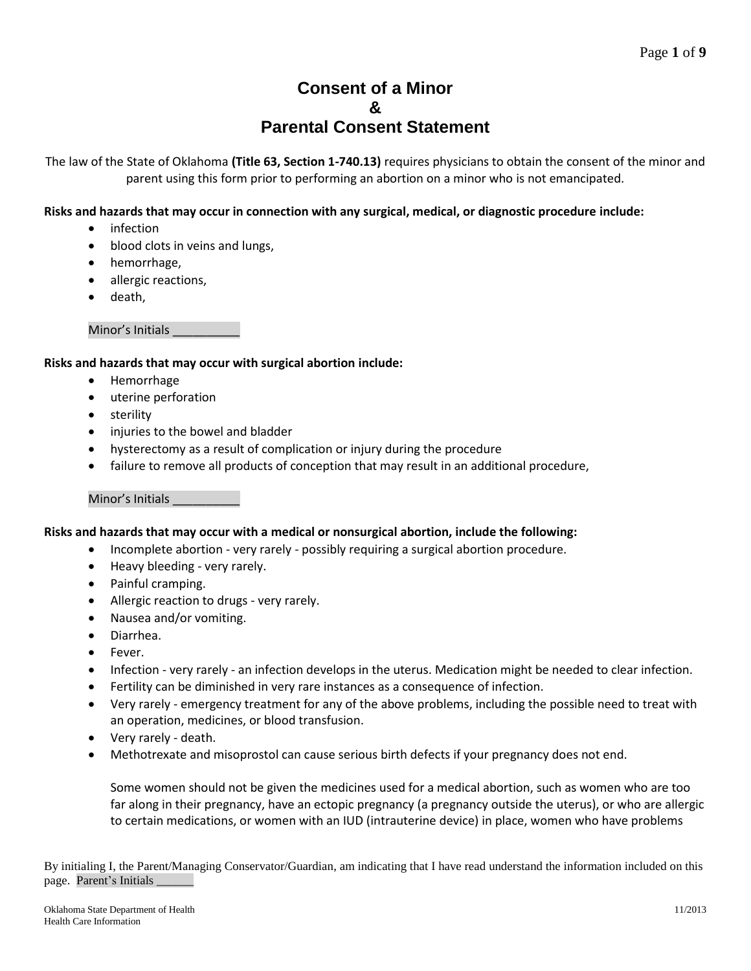# **Consent of a Minor & Parental Consent Statement**

The law of the State of Oklahoma **[\(Title 63, Section 1-740.13\)](http://www.oscn.net/applications/oscn/DeliverDocument.asp?CiteID=470302)** requires physicians to obtain the consent of the minor and parent using this form prior to performing an abortion on a minor who is not emancipated.

# **Risks and hazards that may occur in connection with any surgical, medical, or diagnostic procedure include:**

- infection
- blood clots in veins and lungs,
- hemorrhage,
- allergic reactions,
- death,

Minor's Initials

#### **Risks and hazards that may occur with surgical abortion include:**

- Hemorrhage
- uterine perforation
- sterility
- injuries to the bowel and bladder
- hysterectomy as a result of complication or injury during the procedure
- failure to remove all products of conception that may result in an additional procedure,

#### Minor's Initials \_\_\_\_\_\_\_\_\_\_

# **Risks and hazards that may occur with a medical or nonsurgical abortion, include the following:**

- Incomplete abortion very rarely possibly requiring a surgical abortion procedure.
- Heavy bleeding very rarely.
- Painful cramping.
- Allergic reaction to drugs very rarely.
- Nausea and/or vomiting.
- Diarrhea.
- Fever.
- Infection very rarely an infection develops in the uterus. Medication might be needed to clear infection.
- Fertility can be diminished in very rare instances as a consequence of infection.
- Very rarely emergency treatment for any of the above problems, including the possible need to treat with an operation, medicines, or blood transfusion.
- Very rarely death.
- Methotrexate and misoprostol can cause serious birth defects if your pregnancy does not end.

Some women should not be given the medicines used for a medical abortion, such as women who are too far along in their pregnancy, have an ectopic pregnancy (a pregnancy outside the uterus), or who are allergic to certain medications, or women with an IUD (intrauterine device) in place, women who have problems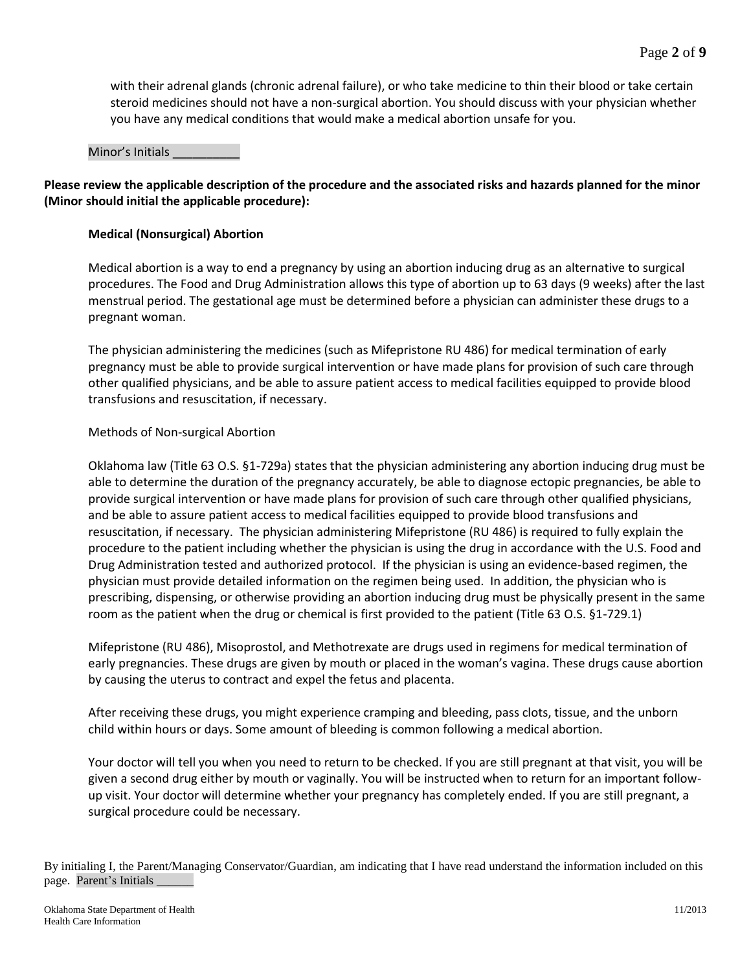with their adrenal glands (chronic adrenal failure), or who take medicine to thin their blood or take certain steroid medicines should not have a non-surgical abortion. You should discuss with your physician whether you have any medical conditions that would make a medical abortion unsafe for you.

#### Minor's Initials \_\_\_\_\_\_\_\_\_\_

**Please review the applicable description of the procedure and the associated risks and hazards planned for the minor (Minor should initial the applicable procedure):** 

#### **Medical (Nonsurgical) Abortion**

Medical abortion is a way to end a pregnancy by using an abortion inducing drug as an alternative to surgical procedures. The Food and Drug Administration allows this type of abortion up to 63 days (9 weeks) after the last menstrual period. The gestational age must be determined before a physician can administer these drugs to a pregnant woman.

The physician administering the medicines (such as Mifepristone RU 486) for medical termination of early pregnancy must be able to provide surgical intervention or have made plans for provision of such care through other qualified physicians, and be able to assure patient access to medical facilities equipped to provide blood transfusions and resuscitation, if necessary.

#### Methods of Non-surgical Abortion

Oklahoma law (Title 63 O.S. §1-729a) states that the physician administering any abortion inducing drug must be able to determine the duration of the pregnancy accurately, be able to diagnose ectopic pregnancies, be able to provide surgical intervention or have made plans for provision of such care through other qualified physicians, and be able to assure patient access to medical facilities equipped to provide blood transfusions and resuscitation, if necessary. The physician administering Mifepristone (RU 486) is required to fully explain the procedure to the patient including whether the physician is using the drug in accordance with the U.S. Food and Drug Administration tested and authorized protocol. If the physician is using an evidence-based regimen, the physician must provide detailed information on the regimen being used. In addition, the physician who is prescribing, dispensing, or otherwise providing an abortion inducing drug must be physically present in the same room as the patient when the drug or chemical is first provided to the patient (Title 63 O.S. §1-729.1)

Mifepristone (RU 486), Misoprostol, and Methotrexate are drugs used in regimens for medical termination of early pregnancies. These drugs are given by mouth or placed in the woman's vagina. These drugs cause abortion by causing the uterus to contract and expel the fetus and placenta.

After receiving these drugs, you might experience cramping and bleeding, pass clots, tissue, and the unborn child within hours or days. Some amount of bleeding is common following a medical abortion.

Your doctor will tell you when you need to return to be checked. If you are still pregnant at that visit, you will be given a second drug either by mouth or vaginally. You will be instructed when to return for an important followup visit. Your doctor will determine whether your pregnancy has completely ended. If you are still pregnant, a surgical procedure could be necessary.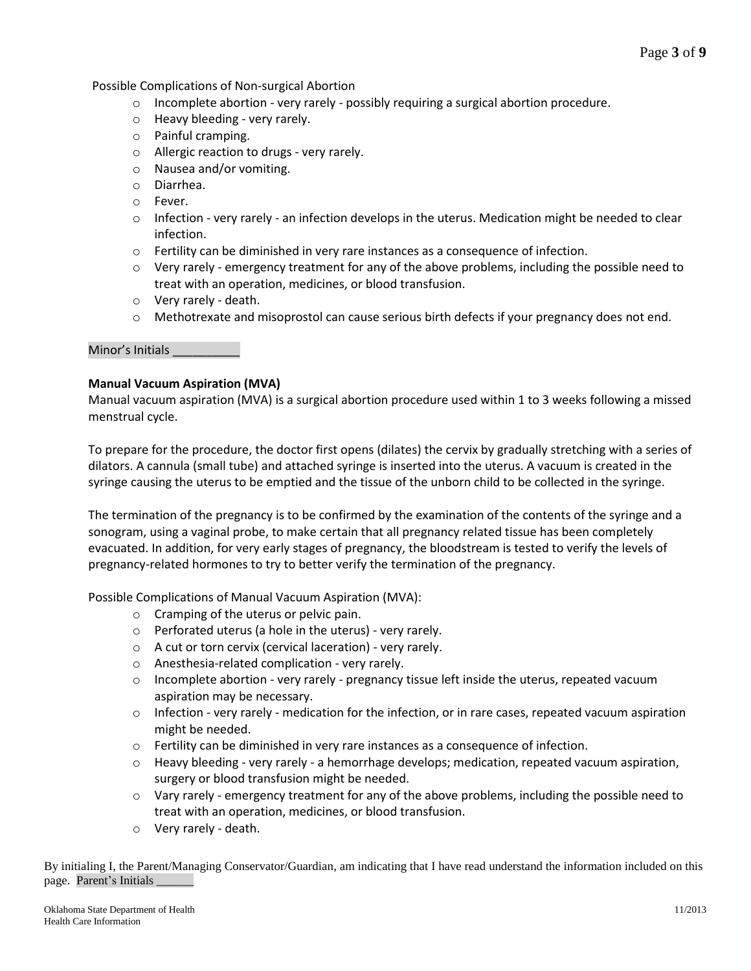Page **3** of **9**

Possible Complications of Non-surgical Abortion

- $\circ$  Incomplete abortion very rarely possibly requiring a surgical abortion procedure.
- o Heavy bleeding very rarely.
- o Painful cramping.
- o Allergic reaction to drugs very rarely.
- o Nausea and/or vomiting.
- o Diarrhea.
- o Fever.
- $\circ$  Infection very rarely an infection develops in the uterus. Medication might be needed to clear infection.
- o Fertility can be diminished in very rare instances as a consequence of infection.
- $\circ$  Very rarely emergency treatment for any of the above problems, including the possible need to treat with an operation, medicines, or blood transfusion.
- o Very rarely death.
- o Methotrexate and misoprostol can cause serious birth defects if your pregnancy does not end.

#### Minor's Initials \_\_\_\_\_\_\_\_\_\_

#### **Manual Vacuum Aspiration (MVA)**

Manual vacuum aspiration (MVA) is a surgical abortion procedure used within 1 to 3 weeks following a missed menstrual cycle.

To prepare for the procedure, the doctor first opens (dilates) the cervix by gradually stretching with a series of dilators. A cannula (small tube) and attached syringe is inserted into the uterus. A vacuum is created in the syringe causing the uterus to be emptied and the tissue of the unborn child to be collected in the syringe.

The termination of the pregnancy is to be confirmed by the examination of the contents of the syringe and a sonogram, using a vaginal probe, to make certain that all pregnancy related tissue has been completely evacuated. In addition, for very early stages of pregnancy, the bloodstream is tested to verify the levels of pregnancy-related hormones to try to better verify the termination of the pregnancy.

Possible Complications of Manual Vacuum Aspiration (MVA):

- o Cramping of the uterus or pelvic pain.
- o Perforated uterus (a hole in the uterus) very rarely.
- o A cut or torn cervix (cervical laceration) very rarely.
- o Anesthesia-related complication very rarely.
- $\circ$  Incomplete abortion very rarely pregnancy tissue left inside the uterus, repeated vacuum aspiration may be necessary.
- $\circ$  Infection very rarely medication for the infection, or in rare cases, repeated vacuum aspiration might be needed.
- $\circ$  Fertility can be diminished in very rare instances as a consequence of infection.
- o Heavy bleeding very rarely a hemorrhage develops; medication, repeated vacuum aspiration, surgery or blood transfusion might be needed.
- $\circ$  Vary rarely emergency treatment for any of the above problems, including the possible need to treat with an operation, medicines, or blood transfusion.
- o Very rarely death.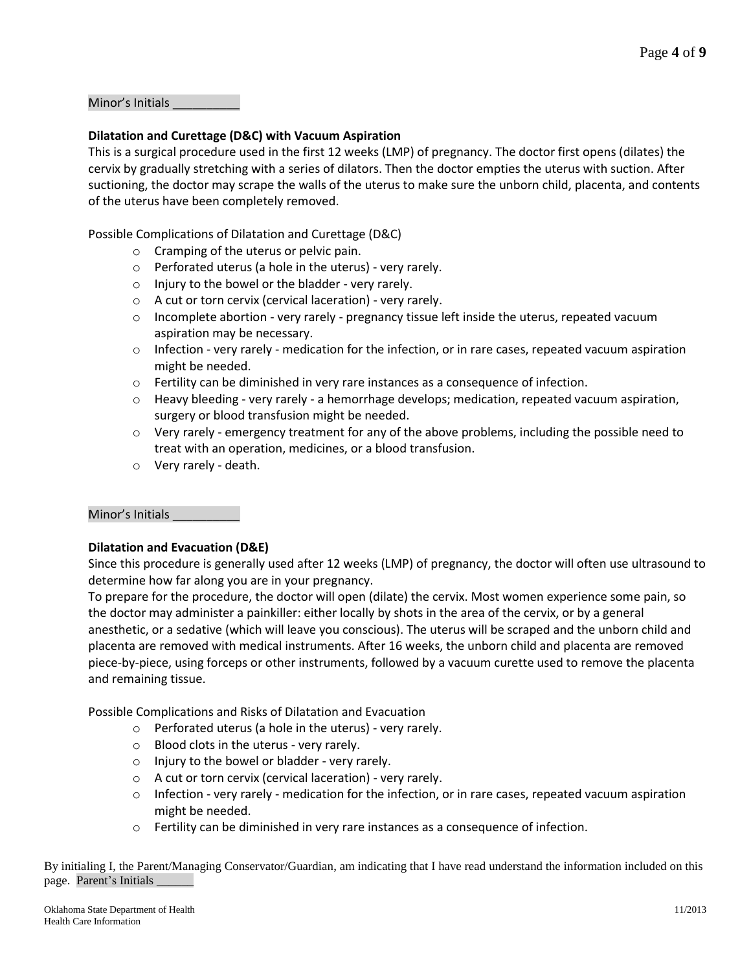Minor's Initials

#### **Dilatation and Curettage (D&C) with Vacuum Aspiration**

This is a surgical procedure used in the first 12 weeks (LMP) of pregnancy. The doctor first opens (dilates) the cervix by gradually stretching with a series of dilators. Then the doctor empties the uterus with suction. After suctioning, the doctor may scrape the walls of the uterus to make sure the unborn child, placenta, and contents of the uterus have been completely removed.

Possible Complications of Dilatation and Curettage (D&C)

- o Cramping of the uterus or pelvic pain.
- o Perforated uterus (a hole in the uterus) very rarely.
- o Injury to the bowel or the bladder very rarely.
- o A cut or torn cervix (cervical laceration) very rarely.
- $\circ$  Incomplete abortion very rarely pregnancy tissue left inside the uterus, repeated vacuum aspiration may be necessary.
- $\circ$  Infection very rarely medication for the infection, or in rare cases, repeated vacuum aspiration might be needed.
- o Fertility can be diminished in very rare instances as a consequence of infection.
- $\circ$  Heavy bleeding very rarely a hemorrhage develops; medication, repeated vacuum aspiration, surgery or blood transfusion might be needed.
- $\circ$  Very rarely emergency treatment for any of the above problems, including the possible need to treat with an operation, medicines, or a blood transfusion.
- o Very rarely death.

#### Minor's Initials \_\_\_\_\_\_\_\_\_\_

#### **Dilatation and Evacuation (D&E)**

Since this procedure is generally used after 12 weeks (LMP) of pregnancy, the doctor will often use ultrasound to determine how far along you are in your pregnancy.

To prepare for the procedure, the doctor will open (dilate) the cervix. Most women experience some pain, so the doctor may administer a painkiller: either locally by shots in the area of the cervix, or by a general anesthetic, or a sedative (which will leave you conscious). The uterus will be scraped and the unborn child and placenta are removed with medical instruments. After 16 weeks, the unborn child and placenta are removed piece-by-piece, using forceps or other instruments, followed by a vacuum curette used to remove the placenta and remaining tissue.

Possible Complications and Risks of Dilatation and Evacuation

- o Perforated uterus (a hole in the uterus) very rarely.
- o Blood clots in the uterus very rarely.
- o Injury to the bowel or bladder very rarely.
- o A cut or torn cervix (cervical laceration) very rarely.
- $\circ$  Infection very rarely medication for the infection, or in rare cases, repeated vacuum aspiration might be needed.
- $\circ$  Fertility can be diminished in very rare instances as a consequence of infection.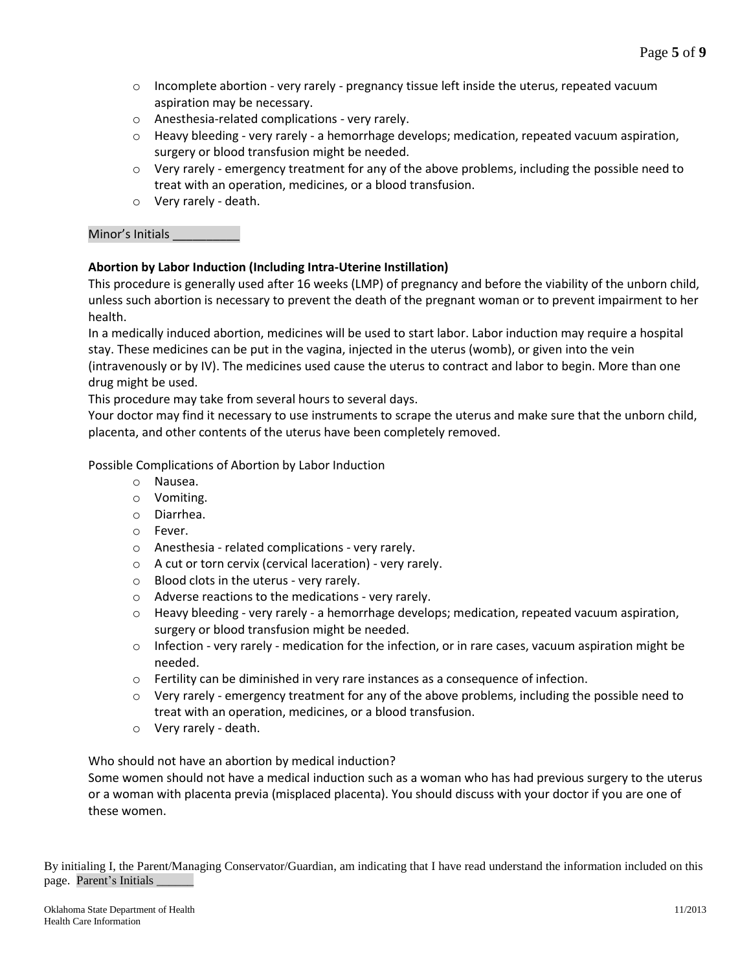- $\circ$  Incomplete abortion very rarely pregnancy tissue left inside the uterus, repeated vacuum aspiration may be necessary.
- o Anesthesia-related complications very rarely.
- $\circ$  Heavy bleeding very rarely a hemorrhage develops; medication, repeated vacuum aspiration, surgery or blood transfusion might be needed.
- $\circ$  Very rarely emergency treatment for any of the above problems, including the possible need to treat with an operation, medicines, or a blood transfusion.
- o Very rarely death.

## Minor's Initials \_\_\_\_\_\_\_\_\_\_

# **Abortion by Labor Induction (Including Intra-Uterine Instillation)**

This procedure is generally used after 16 weeks (LMP) of pregnancy and before the viability of the unborn child, unless such abortion is necessary to prevent the death of the pregnant woman or to prevent impairment to her health.

In a medically induced abortion, medicines will be used to start labor. Labor induction may require a hospital stay. These medicines can be put in the vagina, injected in the uterus (womb), or given into the vein (intravenously or by IV). The medicines used cause the uterus to contract and labor to begin. More than one drug might be used.

This procedure may take from several hours to several days.

Your doctor may find it necessary to use instruments to scrape the uterus and make sure that the unborn child, placenta, and other contents of the uterus have been completely removed.

Possible Complications of Abortion by Labor Induction

- o Nausea.
- o Vomiting.
- o Diarrhea.
- o Fever.
- o Anesthesia related complications very rarely.
- o A cut or torn cervix (cervical laceration) very rarely.
- o Blood clots in the uterus very rarely.
- o Adverse reactions to the medications very rarely.
- $\circ$  Heavy bleeding very rarely a hemorrhage develops; medication, repeated vacuum aspiration, surgery or blood transfusion might be needed.
- $\circ$  Infection very rarely medication for the infection, or in rare cases, vacuum aspiration might be needed.
- $\circ$  Fertility can be diminished in very rare instances as a consequence of infection.
- $\circ$  Very rarely emergency treatment for any of the above problems, including the possible need to treat with an operation, medicines, or a blood transfusion.
- o Very rarely death.

Who should not have an abortion by medical induction?

Some women should not have a medical induction such as a woman who has had previous surgery to the uterus or a woman with placenta previa (misplaced placenta). You should discuss with your doctor if you are one of these women.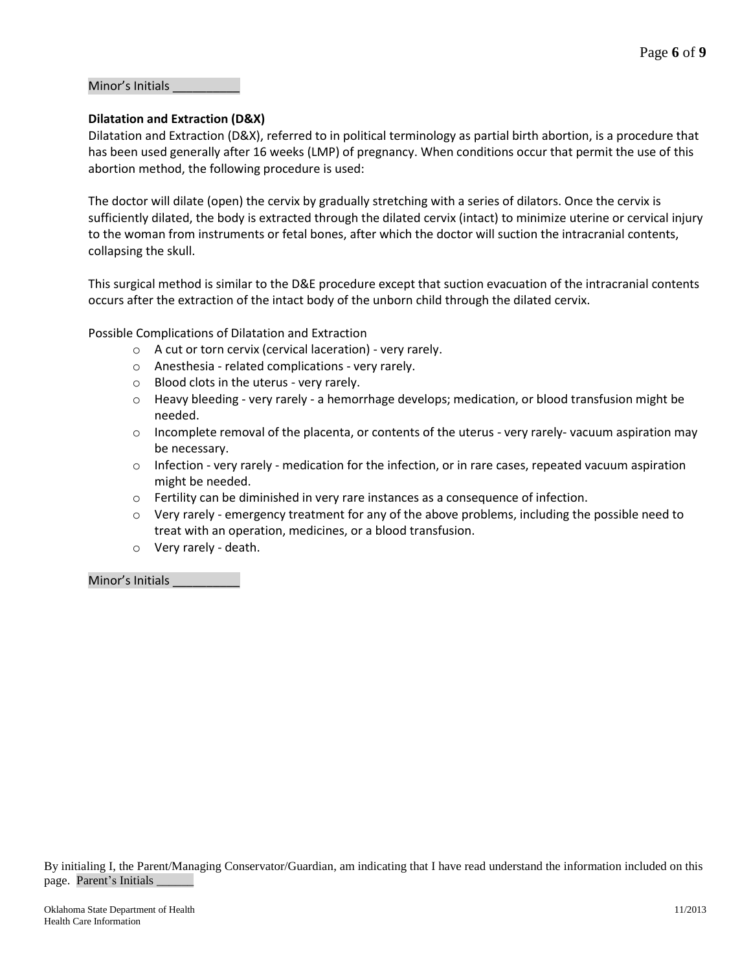#### Minor's Initials \_\_\_\_\_\_\_\_\_\_

#### **Dilatation and Extraction (D&X)**

Dilatation and Extraction (D&X), referred to in political terminology as partial birth abortion, is a procedure that has been used generally after 16 weeks (LMP) of pregnancy. When conditions occur that permit the use of this abortion method, the following procedure is used:

The doctor will dilate (open) the cervix by gradually stretching with a series of dilators. Once the cervix is sufficiently dilated, the body is extracted through the dilated cervix (intact) to minimize uterine or cervical injury to the woman from instruments or fetal bones, after which the doctor will suction the intracranial contents, collapsing the skull.

This surgical method is similar to the D&E procedure except that suction evacuation of the intracranial contents occurs after the extraction of the intact body of the unborn child through the dilated cervix.

Possible Complications of Dilatation and Extraction

- o A cut or torn cervix (cervical laceration) very rarely.
- o Anesthesia related complications very rarely.
- o Blood clots in the uterus very rarely.
- $\circ$  Heavy bleeding very rarely a hemorrhage develops; medication, or blood transfusion might be needed.
- $\circ$  Incomplete removal of the placenta, or contents of the uterus very rarely-vacuum aspiration may be necessary.
- $\circ$  Infection very rarely medication for the infection, or in rare cases, repeated vacuum aspiration might be needed.
- $\circ$  Fertility can be diminished in very rare instances as a consequence of infection.
- $\circ$  Very rarely emergency treatment for any of the above problems, including the possible need to treat with an operation, medicines, or a blood transfusion.
- o Very rarely death.

Minor's Initials \_\_\_\_\_\_\_\_\_\_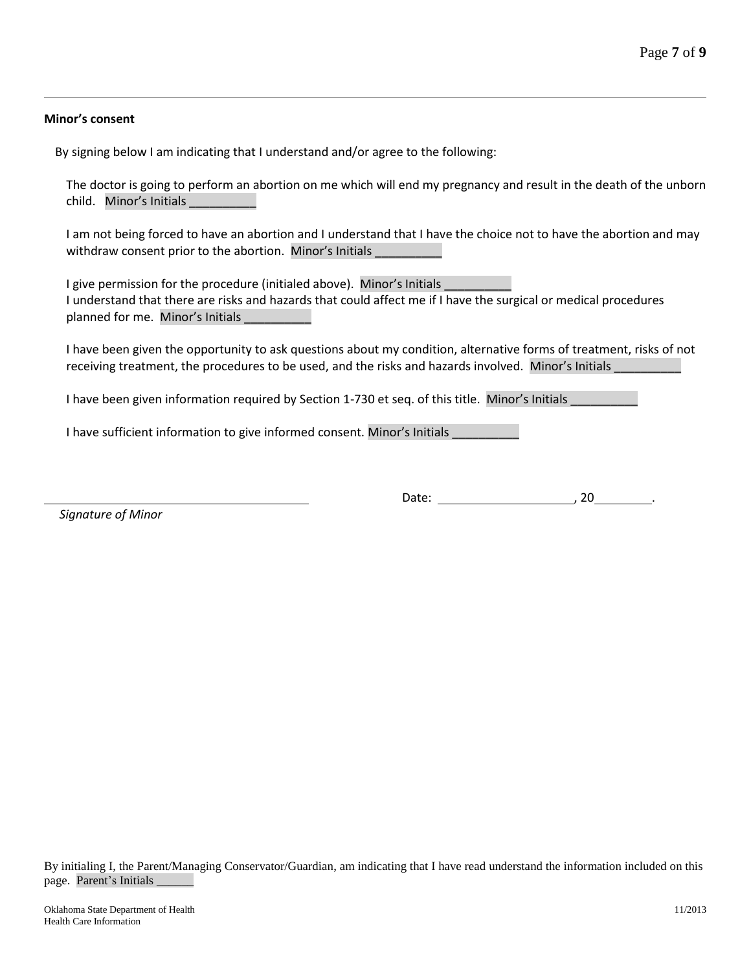#### **Minor's consent**

By signing below I am indicating that I understand and/or agree to the following:

The doctor is going to perform an abortion on me which will end my pregnancy and result in the death of the unborn child. Minor's Initials

I am not being forced to have an abortion and I understand that I have the choice not to have the abortion and may withdraw consent prior to the abortion. Minor's Initials

I give permission for the procedure (initialed above). Minor's Initials I understand that there are risks and hazards that could affect me if I have the surgical or medical procedures planned for me. Minor's Initials

I have been given the opportunity to ask questions about my condition, alternative forms of treatment, risks of not receiving treatment, the procedures to be used, and the risks and hazards involved. Minor's Initials

I have been given information required by Section 1-730 et seq. of this title. Minor's Initials

I have sufficient information to give informed consent. Minor's Initials \_\_\_\_\_\_\_\_\_\_

 *Signature of Minor*

Date: , 20 ...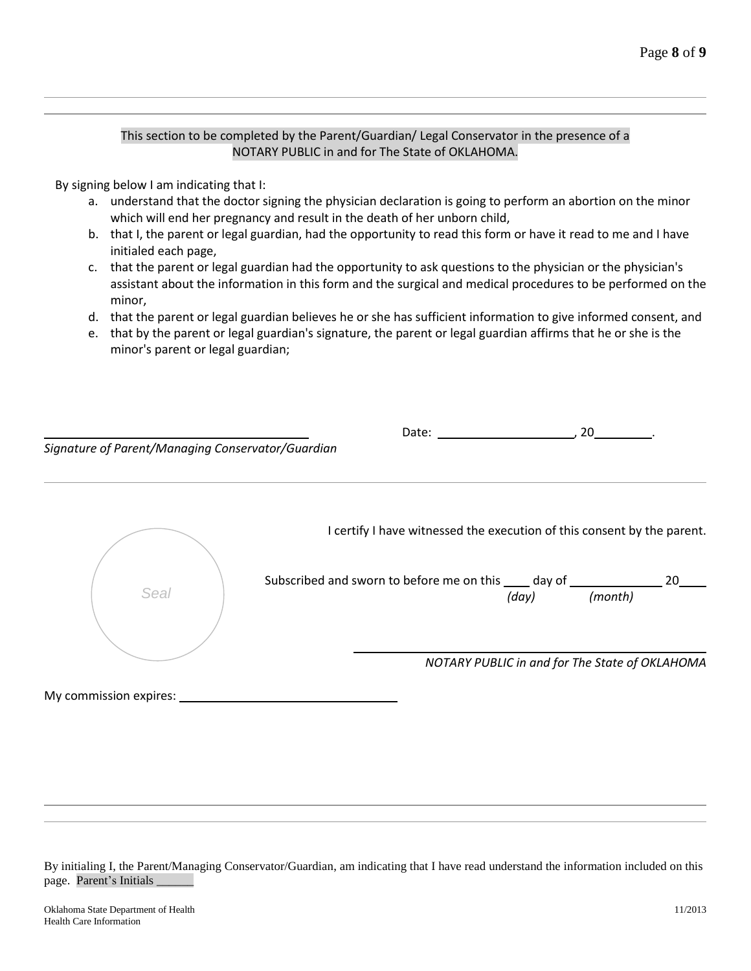#### This section to be completed by the Parent/Guardian/ Legal Conservator in the presence of a NOTARY PUBLIC in and for The State of OKLAHOMA.

By signing below I am indicating that I:

- a. understand that the doctor signing the physician declaration is going to perform an abortion on the minor which will end her pregnancy and result in the death of her unborn child,
- b. that I, the parent or legal guardian, had the opportunity to read this form or have it read to me and I have initialed each page,
- c. that the parent or legal guardian had the opportunity to ask questions to the physician or the physician's assistant about the information in this form and the surgical and medical procedures to be performed on the minor,
- d. that the parent or legal guardian believes he or she has sufficient information to give informed consent, and
- e. that by the parent or legal guardian's signature, the parent or legal guardian affirms that he or she is the minor's parent or legal guardian;

| Signature of Parent/Managing Conservator/Guardian | Date:                                                                                                                                                                                         |       | 20      |    |
|---------------------------------------------------|-----------------------------------------------------------------------------------------------------------------------------------------------------------------------------------------------|-------|---------|----|
| Seal                                              | I certify I have witnessed the execution of this consent by the parent.<br>Subscribed and sworn to before me on this _____ day of _________<br>NOTARY PUBLIC in and for The State of OKLAHOMA | (day) | (month) | 20 |

My commission expires: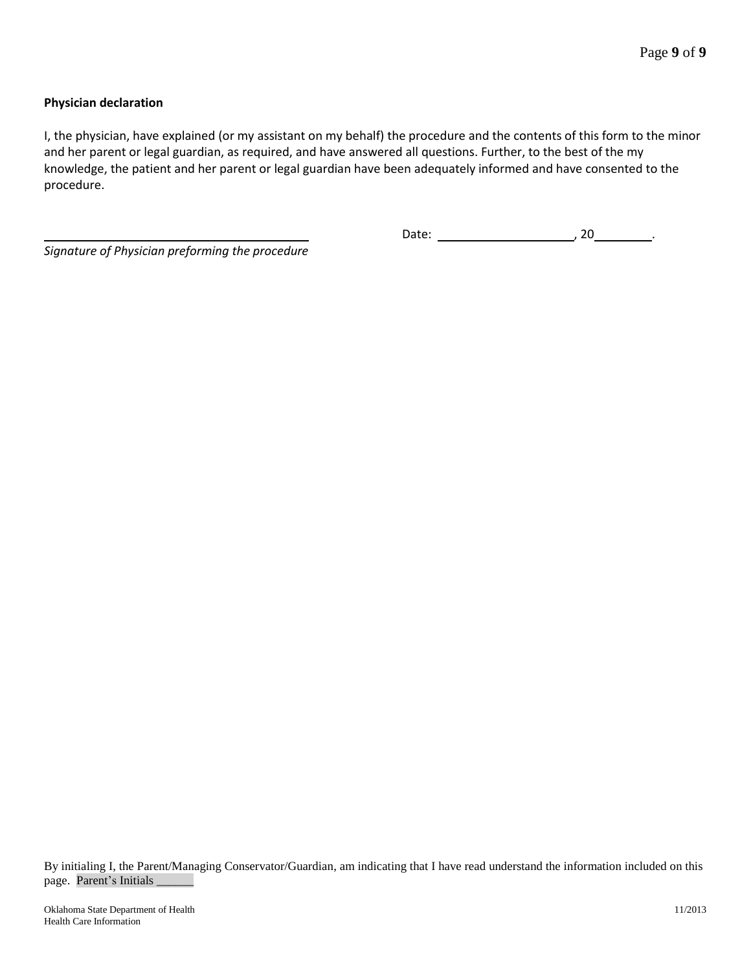## **Physician declaration**

I, the physician, have explained (or my assistant on my behalf) the procedure and the contents of this form to the minor and her parent or legal guardian, as required, and have answered all questions. Further, to the best of the my knowledge, the patient and her parent or legal guardian have been adequately informed and have consented to the procedure.

*Signature of Physician preforming the procedure*

Date: , 20 .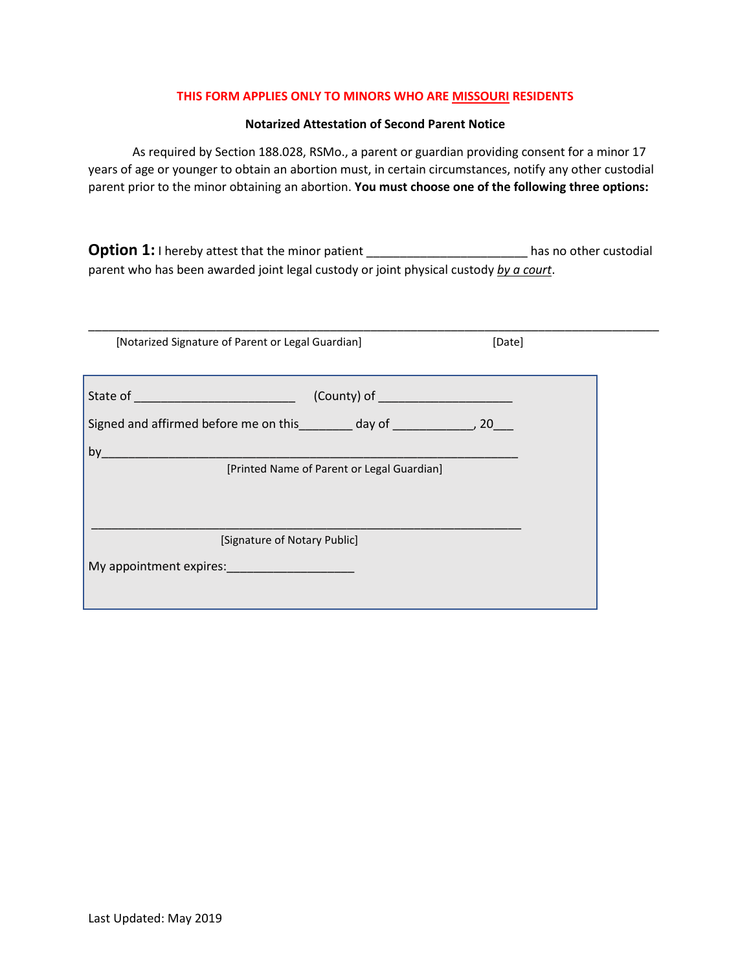#### **THIS FORM APPLIES ONLY TO MINORS WHO ARE MISSOURI RESIDENTS**

#### **Notarized Attestation of Second Parent Notice**

As required by Section 188.028, RSMo., a parent or guardian providing consent for a minor 17 years of age or younger to obtain an abortion must, in certain circumstances, notify any other custodial parent prior to the minor obtaining an abortion. **You must choose one of the following three options:**

**Option 1:** I hereby attest that the minor patient \_\_\_\_\_\_\_\_\_\_\_\_\_\_\_\_\_\_\_\_\_\_\_\_\_\_\_has no other custodial parent who has been awarded joint legal custody or joint physical custody *by a court*.

| [Notarized Signature of Parent or Legal Guardian]                               |                                            | [Date] |  |
|---------------------------------------------------------------------------------|--------------------------------------------|--------|--|
|                                                                                 |                                            |        |  |
|                                                                                 |                                            |        |  |
|                                                                                 |                                            |        |  |
| Signed and affirmed before me on this ________ day of _________________, 20____ |                                            |        |  |
| by                                                                              |                                            |        |  |
|                                                                                 | [Printed Name of Parent or Legal Guardian] |        |  |
|                                                                                 |                                            |        |  |
|                                                                                 |                                            |        |  |
|                                                                                 |                                            |        |  |
| [Signature of Notary Public]                                                    |                                            |        |  |
| My appointment expires:                                                         |                                            |        |  |
|                                                                                 |                                            |        |  |
|                                                                                 |                                            |        |  |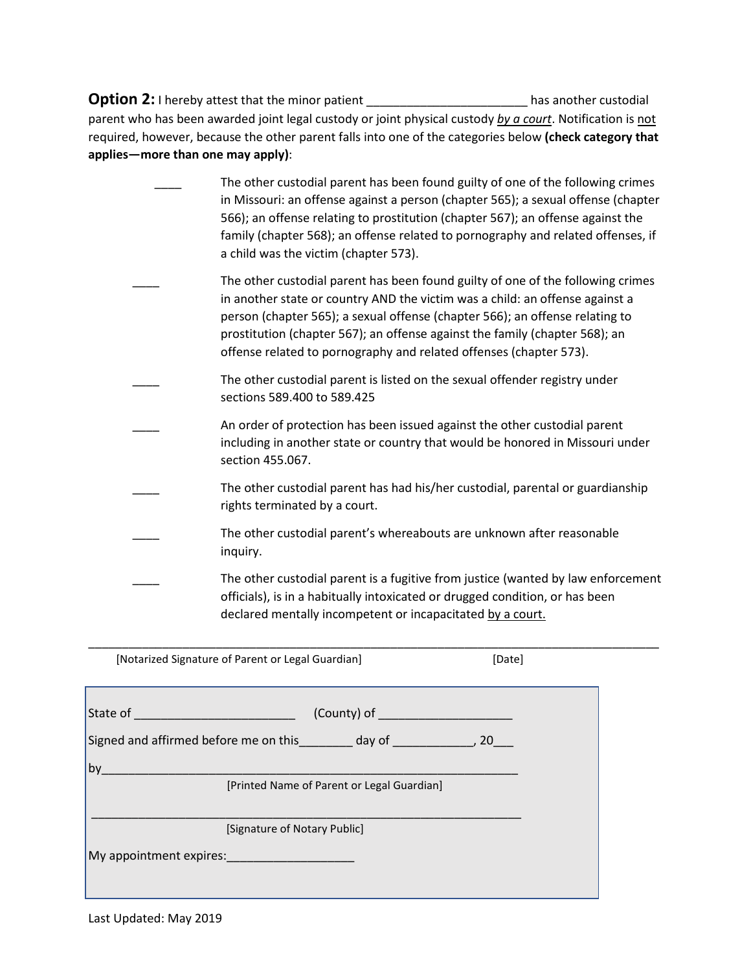**Option 2:** I hereby attest that the minor patient \_\_\_\_\_\_\_\_\_\_\_\_\_\_\_\_\_\_\_\_\_\_\_\_\_\_\_\_\_\_ has another custodial parent who has been awarded joint legal custody or joint physical custody *by a court*. Notification is not required, however, because the other parent falls into one of the categories below **(check category that applies—more than one may apply)**:

The other custodial parent has been found guilty of one of the following crimes in Missouri: an offense against a person (chapter 565); a sexual offense (chapter 566); an offense relating to prostitution (chapter 567); an offense against the family (chapter 568); an offense related to pornography and related offenses, if a child was the victim (chapter 573). The other custodial parent has been found guilty of one of the following crimes in another state or country AND the victim was a child: an offense against a person (chapter 565); a sexual offense (chapter 566); an offense relating to prostitution (chapter 567); an offense against the family (chapter 568); an offense related to pornography and related offenses (chapter 573). The other custodial parent is listed on the sexual offender registry under sections 589.400 to 589.425 An order of protection has been issued against the other custodial parent including in another state or country that would be honored in Missouri under section 455.067. The other custodial parent has had his/her custodial, parental or guardianship rights terminated by a court. The other custodial parent's whereabouts are unknown after reasonable inquiry. The other custodial parent is a fugitive from justice (wanted by law enforcement officials), is in a habitually intoxicated or drugged condition, or has been declared mentally incompetent or incapacitated by a court.

| State of ______________________________                                                                                                                                                                                        |                                            |
|--------------------------------------------------------------------------------------------------------------------------------------------------------------------------------------------------------------------------------|--------------------------------------------|
|                                                                                                                                                                                                                                |                                            |
| by                                                                                                                                                                                                                             |                                            |
|                                                                                                                                                                                                                                | [Printed Name of Parent or Legal Guardian] |
| [Signature of Notary Public]                                                                                                                                                                                                   |                                            |
| My appointment expires: and the control of the control of the control of the control of the control of the control of the control of the control of the control of the control of the control of the control of the control of |                                            |

\_\_\_\_\_\_\_\_\_\_\_\_\_\_\_\_\_\_\_\_\_\_\_\_\_\_\_\_\_\_\_\_\_\_\_\_\_\_\_\_\_\_\_\_\_\_\_\_\_\_\_\_\_\_\_\_\_\_\_\_\_\_\_\_\_\_\_\_\_\_\_\_\_\_\_\_\_\_\_\_\_\_\_\_\_

[Notarized Signature of Parent or Legal Guardian] [Date]